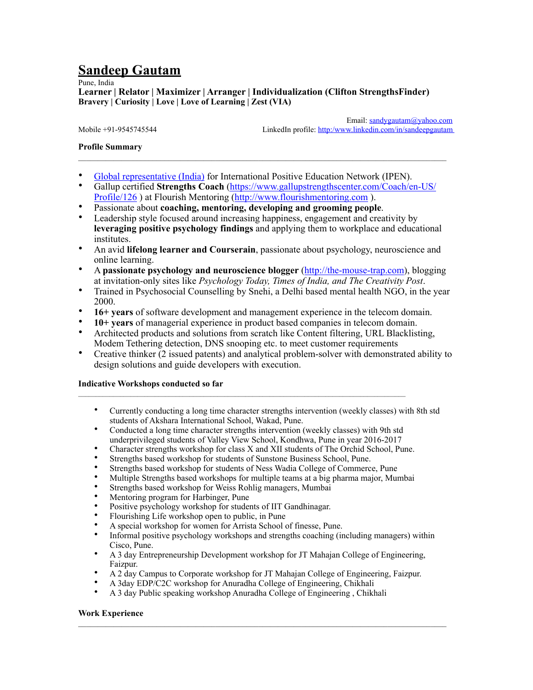# **Sandeep Gautam**

Pune, India

**Learner | Relator | Maximizer | Arranger | Individualization (Clifton StrengthsFinder) Bravery | Curiosity | Love | Love of Learning | Zest (VIA)**

 Email: [sandygautam@yahoo.com](mailto:sandygautam@iname.com) Mobile +91-9545745544 LinkedIn profile: http:/www.linkedin.com/in/sandeepgautam

# **Profile Summary**

- [Global representative \(India\)](http://www.ipositive-education.net/ipen-global-representatives/) for International Positive Education Network (IPEN).
- Gallup certified **Strengths Coach** [\(https://www.gallupstrengthscenter.com/Coach/en-US/](https://www.gallupstrengthscenter.com/Coach/en-US/Profile/927310) [Profile/126](https://www.gallupstrengthscenter.com/Coach/en-US/Profile/927310) ) at Flourish Mentoring (<http://www.flourishmentoring.com>).
- Passionate about **coaching, mentoring, developing and grooming people**.
- Leadership style focused around increasing happiness, engagement and creativity by **leveraging positive psychology findings** and applying them to workplace and educational institutes.
- An avid **lifelong learner and Courserain**, passionate about psychology, neuroscience and online learning.
- A **passionate psychology and neuroscience blogger** (<http://the-mouse-trap.com>), blogging at invitation-only sites like *Psychology Today, Times of India, and The Creativity Post*.
- Trained in Psychosocial Counselling by Snehi, a Delhi based mental health NGO, in the year 2000.
- **16+ years** of software development and management experience in the telecom domain.
- **10+ years** of managerial experience in product based companies in telecom domain.
- Architected products and solutions from scratch like Content filtering, URL Blacklisting, Modem Tethering detection, DNS snooping etc. to meet customer requirements
- Creative thinker (2 issued patents) and analytical problem-solver with demonstrated ability to design solutions and guide developers with execution.

## **Indicative Workshops conducted so far**

- Currently conducting a long time character strengths intervention (weekly classes) with 8th std students of Akshara International School, Wakad, Pune.
- Conducted a long time character strengths intervention (weekly classes) with 9th std underprivileged students of Valley View School, Kondhwa, Pune in year 2016-2017

 $\mathcal{L}_\mathcal{L} = \mathcal{L}_\mathcal{L}$ 

- Character strengths workshop for class X and XII students of The Orchid School, Pune.
- Strengths based workshop for students of Sunstone Business School, Pune.
- Strengths based workshop for students of Ness Wadia College of Commerce, Pune
- Multiple Strengths based workshops for multiple teams at a big pharma major, Mumbai
- Strengths based workshop for Weiss Rohlig managers, Mumbai
- Mentoring program for Harbinger, Pune
- Positive psychology workshop for students of IIT Gandhinagar.
- Flourishing Life workshop open to public, in Pune
- A special workshop for women for Arrista School of finesse, Pune.
- Informal positive psychology workshops and strengths coaching (including managers) within Cisco, Pune.
- A 3 day Entrepreneurship Development workshop for JT Mahajan College of Engineering, Faizpur.
- A 2 day Campus to Corporate workshop for JT Mahajan College of Engineering, Faizpur.

 $\mathcal{L}_\mathcal{L} = \mathcal{L}_\mathcal{L}$ 

- A 3day EDP/C2C workshop for Anuradha College of Engineering, Chikhali
- A 3 day Public speaking workshop Anuradha College of Engineering , Chikhali

## **Work Experience**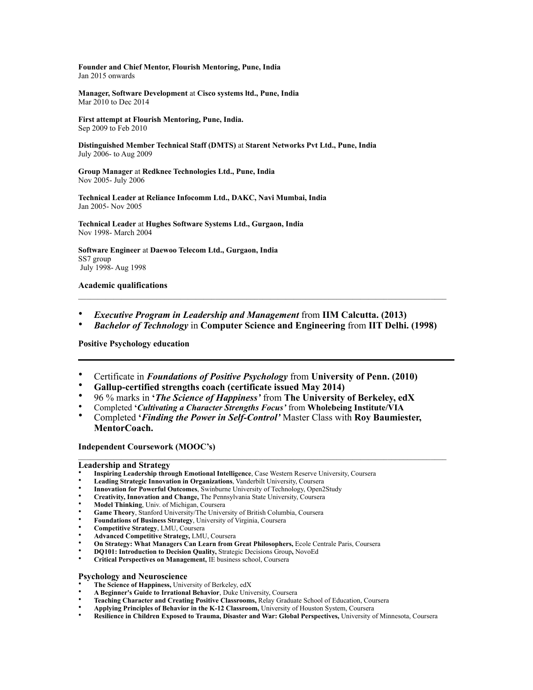**Founder and Chief Mentor, Flourish Mentoring, Pune, India**  Jan 2015 onwards

**Manager, Software Development** at **Cisco systems ltd., Pune, India** Mar 2010 to Dec 2014

**First attempt at Flourish Mentoring, Pune, India.** Sep 2009 to Feb 2010

**Distinguished Member Technical Staff (DMTS)** at **Starent Networks Pvt Ltd., Pune, India**  July 2006- to Aug 2009

**Group Manager** at **Redknee Technologies Ltd., Pune, India**  Nov 2005- July 2006

**Technical Leader at Reliance Infocomm Ltd., DAKC, Navi Mumbai, India** Jan 2005- Nov 2005

**Technical Leader** at **Hughes Software Systems Ltd., Gurgaon, India** Nov 1998- March 2004

**Software Engineer** at **Daewoo Telecom Ltd., Gurgaon, India** SS7 group July 1998- Aug 1998

## **Academic qualifications**

- *Executive Program in Leadership and Management* from **IIM Calcutta. (2013)**
- *Bachelor of Technology* in **Computer Science and Engineering** from **IIT Delhi. (1998)**

**Positive Psychology education** 

- Certificate in *Foundations of Positive Psychology* from **University of Penn. (2010)**
- **Gallup-certified strengths coach (certificate issued May 2014)**
- 96 % marks in **'***The Science of Happiness'* from **The University of Berkeley, edX**
- Completed **'***Cultivating a Character Strengths Focus'* from **Wholebeing Institute/VIA**
- Completed **'***Finding the Power in Self-Control'* Master Class with **Roy Baumiester, MentorCoach.**

 $\mathcal{L}_\mathcal{L} = \mathcal{L}_\mathcal{L}$ 

**Independent Coursework (MOOC's)** 

### **Leadership and Strategy**

- **Inspiring Leadership through Emotional Intelligence**, Case Western Reserve University, Coursera
- **Leading Strategic Innovation in Organizations**, Vanderbilt University, Coursera
- **Innovation for Powerful Outcomes**, Swinburne University of Technology, Open2Study
- **Creativity, Innovation and Change,** The Pennsylvania State University, Coursera
- **Model Thinking**, Univ. of Michigan, Coursera
- **Game Theory**, Stanford University/The University of British Columbia, Coursera
- **Foundations of Business Strategy**, University of Virginia, Coursera
- **Competitive Strategy**, LMU, Coursera
- **Advanced Competitive Strategy,** LMU, Coursera
- **On Strategy: What Managers Can Learn from Great Philosophers,** Ecole Centrale Paris, Coursera
- **DQ101: Introduction to Decision Quality,** Strategic Decisions Group**,** NovoEd
- **Critical Perspectives on Management,** IE business school, Coursera

#### **Psychology and Neuroscience**

- **The Science of Happiness,** University of Berkeley, edX
- **A Beginner's Guide to Irrational Behavior**, Duke University, Coursera
- **Teaching Character and Creating Positive Classrooms,** Relay Graduate School of Education, Coursera
- **Applying Principles of Behavior in the K-12 Classroom,** University of Houston System, Coursera
- **Resilience in Children Exposed to Trauma, Disaster and War: Global Perspectives,** University of Minnesota, Coursera